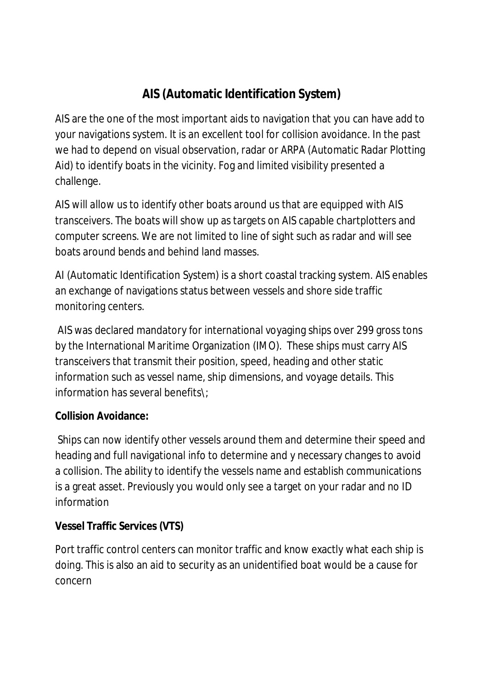# **AIS (Automatic Identification System)**

AIS are the one of the most important aids to navigation that you can have add to your navigations system. It is an excellent tool for collision avoidance. In the past we had to depend on visual observation, radar or ARPA (Automatic Radar Plotting Aid) to identify boats in the vicinity. Fog and limited visibility presented a challenge.

AIS will allow us to identify other boats around us that are equipped with AIS transceivers. The boats will show up as targets on AIS capable chartplotters and computer screens. We are not limited to line of sight such as radar and will see boats around bends and behind land masses.

AI (Automatic Identification System) is a short coastal tracking system. AIS enables an exchange of navigations status between vessels and shore side traffic monitoring centers.

AIS was declared mandatory for international voyaging ships over 299 gross tons by the International Maritime Organization (IMO). These ships must carry AIS transceivers that transmit their position, speed, heading and other static information such as vessel name, ship dimensions, and voyage details. This information has several benefits\;

# **Collision Avoidance:**

Ships can now identify other vessels around them and determine their speed and heading and full navigational info to determine and y necessary changes to avoid a collision. The ability to identify the vessels name and establish communications is a great asset. Previously you would only see a target on your radar and no ID information

# **Vessel Traffic Services (VTS)**

Port traffic control centers can monitor traffic and know exactly what each ship is doing. This is also an aid to security as an unidentified boat would be a cause for concern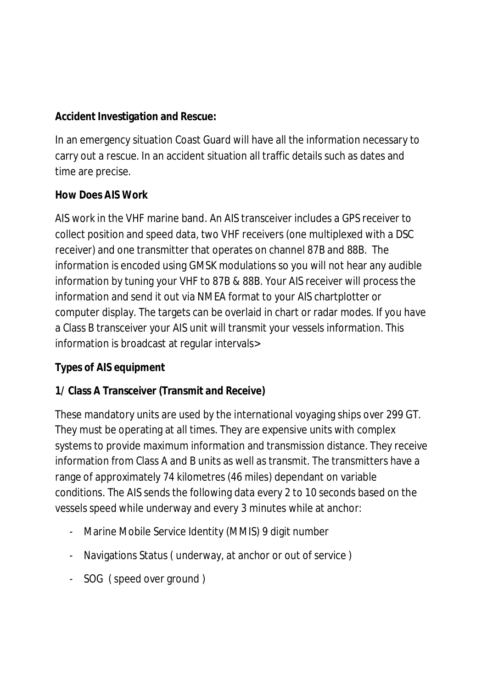**Accident Investigation and Rescue:**

In an emergency situation Coast Guard will have all the information necessary to carry out a rescue. In an accident situation all traffic details such as dates and time are precise.

**How Does AIS Work**

AIS work in the VHF marine band. An AIS transceiver includes a GPS receiver to collect position and speed data, two VHF receivers (one multiplexed with a DSC receiver) and one transmitter that operates on channel 87B and 88B. The information is encoded using GMSK modulations so you will not hear any audible information by tuning your VHF to 87B & 88B. Your AIS receiver will process the information and send it out via NMEA format to your AIS chartplotter or computer display. The targets can be overlaid in chart or radar modes. If you have a Class B transceiver your AIS unit will transmit your vessels information. This information is broadcast at regular intervals>

# **Types of AIS equipment**

# **1/ Class A Transceiver (Transmit and Receive)**

These mandatory units are used by the international voyaging ships over 299 GT. They must be operating at all times. They are expensive units with complex systems to provide maximum information and transmission distance. They receive information from Class A and B units as well as transmit. The transmitters have a range of approximately 74 kilometres (46 miles) dependant on variable conditions. The AIS sends the following data every 2 to 10 seconds based on the vessels speed while underway and every 3 minutes while at anchor:

- Marine Mobile Service Identity (MMIS) 9 digit number
- Navigations Status ( underway, at anchor or out of service )
- SOG ( speed over ground )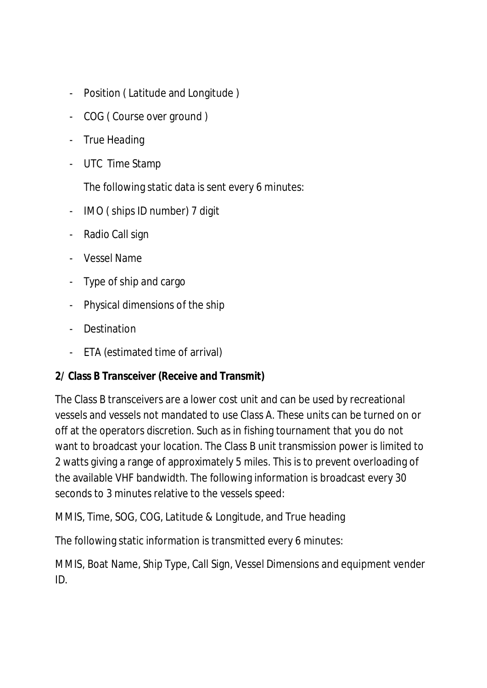- Position ( Latitude and Longitude )
- COG ( Course over ground )
- True Heading
- UTC Time Stamp

The following static data is sent every 6 minutes:

- IMO ( ships ID number) 7 digit
- Radio Call sign
- Vessel Name
- Type of ship and cargo
- Physical dimensions of the ship
- Destination
- ETA (estimated time of arrival)

**2/ Class B Transceiver (Receive and Transmit)**

The Class B transceivers are a lower cost unit and can be used by recreational vessels and vessels not mandated to use Class A. These units can be turned on or off at the operators discretion. Such as in fishing tournament that you do not want to broadcast your location. The Class B unit transmission power is limited to 2 watts giving a range of approximately 5 miles. This is to prevent overloading of the available VHF bandwidth. The following information is broadcast every 30 seconds to 3 minutes relative to the vessels speed:

MMIS, Time, SOG, COG, Latitude & Longitude, and True heading

The following static information is transmitted every 6 minutes:

MMIS, Boat Name, Ship Type, Call Sign, Vessel Dimensions and equipment vender ID.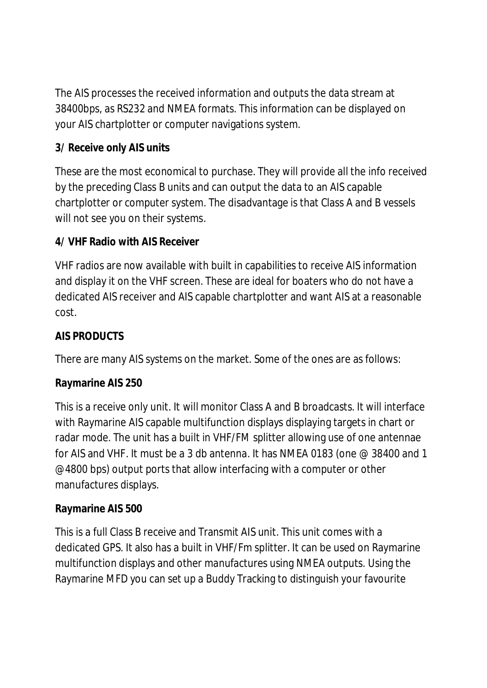The AIS processes the received information and outputs the data stream at 38400bps, as RS232 and NMEA formats. This information can be displayed on your AIS chartplotter or computer navigations system.

# **3/ Receive only AIS units**

These are the most economical to purchase. They will provide all the info received by the preceding Class B units and can output the data to an AIS capable chartplotter or computer system. The disadvantage is that Class A and B vessels will not see you on their systems.

#### **4/ VHF Radio with AIS Receiver**

VHF radios are now available with built in capabilities to receive AIS information and display it on the VHF screen. These are ideal for boaters who do not have a dedicated AIS receiver and AIS capable chartplotter and want AIS at a reasonable cost.

#### **AIS PRODUCTS**

There are many AIS systems on the market. Some of the ones are as follows:

#### **Raymarine AIS 250**

This is a receive only unit. It will monitor Class A and B broadcasts. It will interface with Raymarine AIS capable multifunction displays displaying targets in chart or radar mode. The unit has a built in VHF/FM splitter allowing use of one antennae for AIS and VHF. It must be a 3 db antenna. It has NMEA 0183 (one @ 38400 and 1 @4800 bps) output ports that allow interfacing with a computer or other manufactures displays.

#### **Raymarine AIS 500**

This is a full Class B receive and Transmit AIS unit. This unit comes with a dedicated GPS. It also has a built in VHF/Fm splitter. It can be used on Raymarine multifunction displays and other manufactures using NMEA outputs. Using the Raymarine MFD you can set up a Buddy Tracking to distinguish your favourite